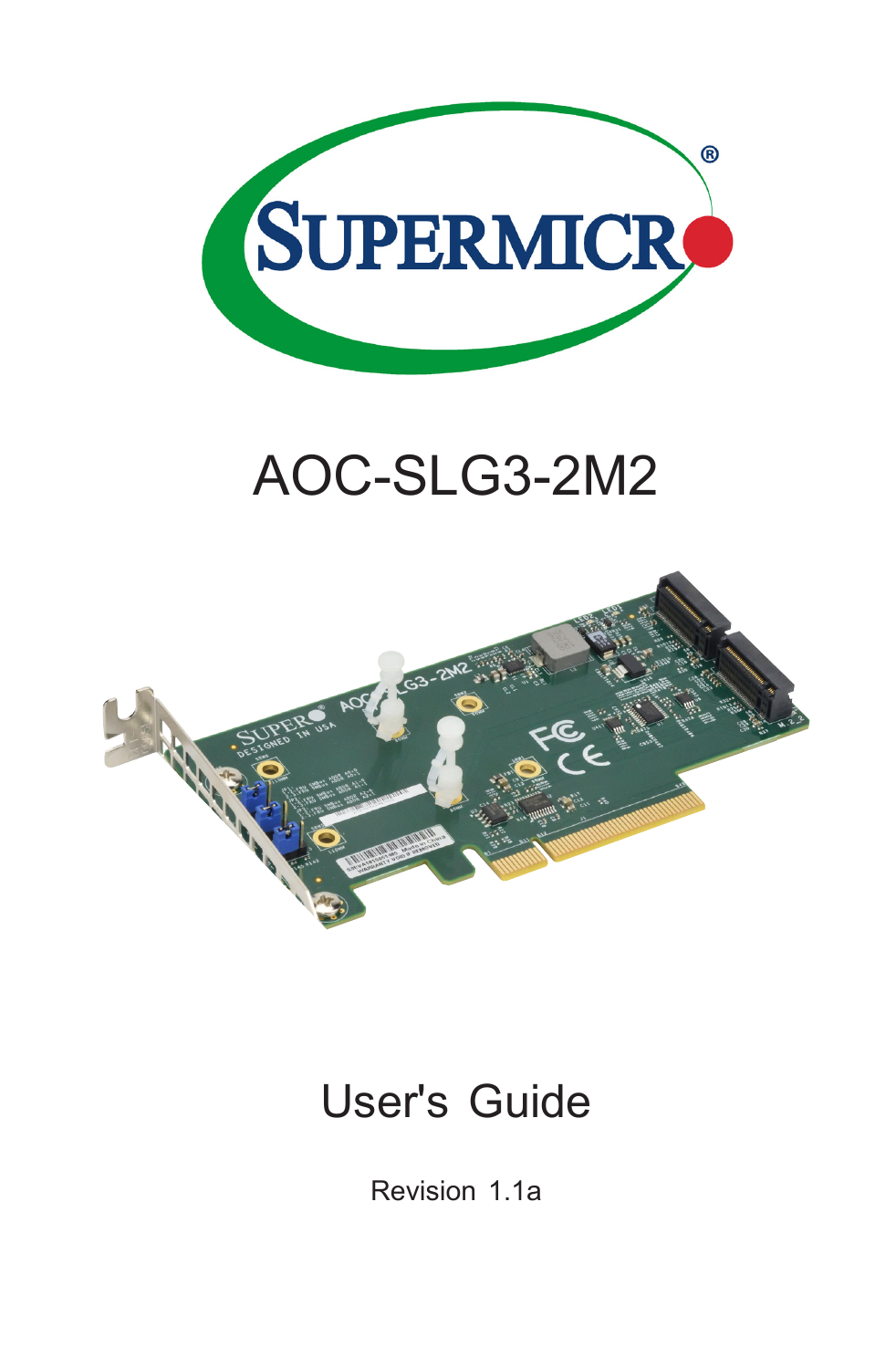

# AOC-SLG3-2M2



## User's Guide

Revision 1.1a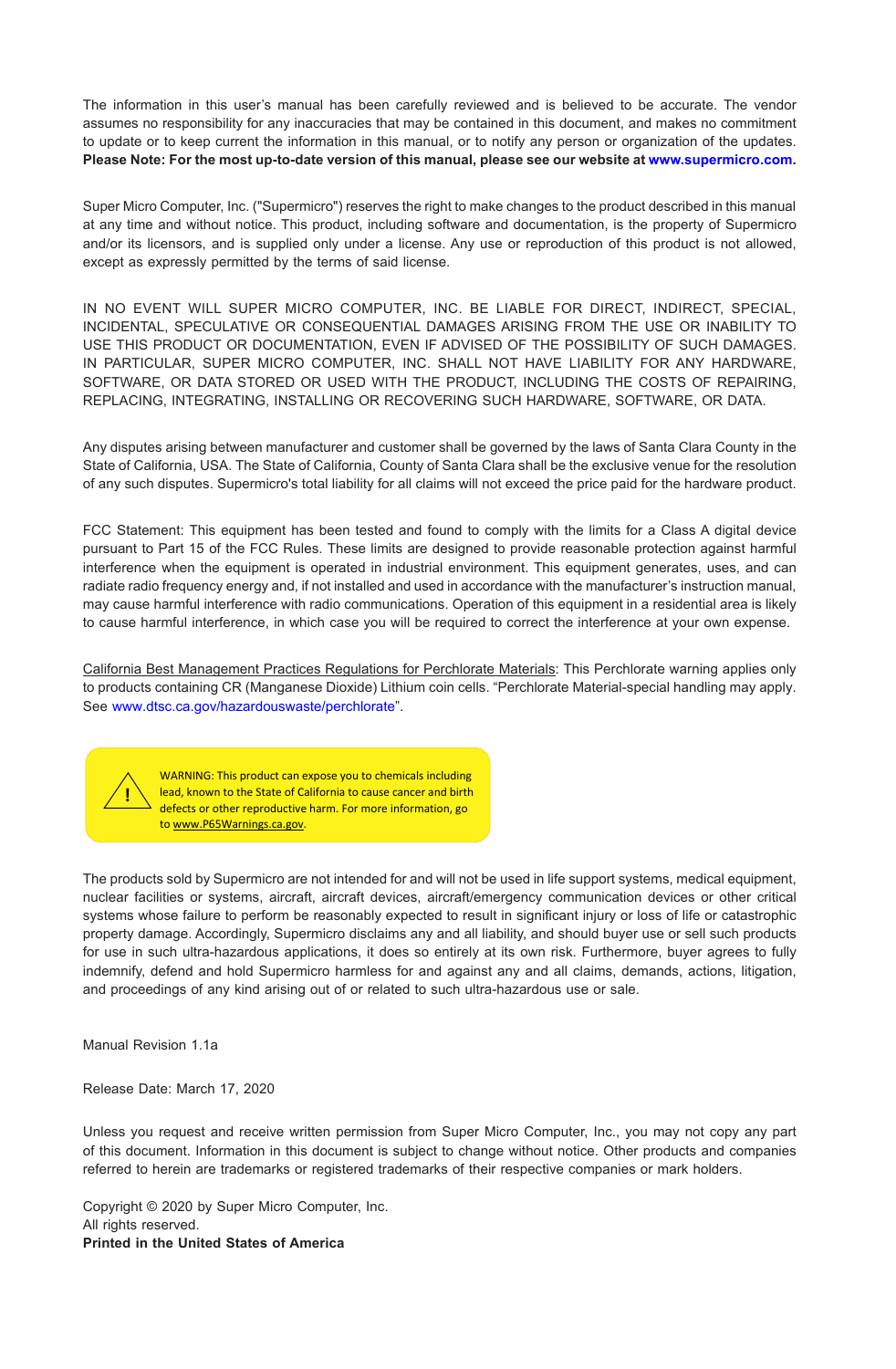The information in this user's manual has been carefully reviewed and is believed to be accurate. The vendor assumes no responsibility for any inaccuracies that may be contained in this document, and makes no commitment to update or to keep current the information in this manual, or to notify any person or organization of the updates. **Please Note: For the most up-to-date version of this manual, please see our website at [www.supermicro.com.](http://www.supermicro.com)**

Super Micro Computer, Inc. ("Supermicro") reserves the right to make changes to the product described in this manual at any time and without notice. This product, including software and documentation, is the property of Supermicro and/or its licensors, and is supplied only under a license. Any use or reproduction of this product is not allowed, except as expressly permitted by the terms of said license.

IN NO EVENT WILL SUPER MICRO COMPUTER, INC. BE LIABLE FOR DIRECT, INDIRECT, SPECIAL, INCIDENTAL, SPECULATIVE OR CONSEQUENTIAL DAMAGES ARISING FROM THE USE OR INABILITY TO USE THIS PRODUCT OR DOCUMENTATION, EVEN IF ADVISED OF THE POSSIBILITY OF SUCH DAMAGES. IN PARTICULAR, SUPER MICRO COMPUTER, INC. SHALL NOT HAVE LIABILITY FOR ANY HARDWARE, SOFTWARE, OR DATA STORED OR USED WITH THE PRODUCT, INCLUDING THE COSTS OF REPAIRING, REPLACING, INTEGRATING, INSTALLING OR RECOVERING SUCH HARDWARE, SOFTWARE, OR DATA.

Any disputes arising between manufacturer and customer shall be governed by the laws of Santa Clara County in the State of California, USA. The State of California, County of Santa Clara shall be the exclusive venue for the resolution of any such disputes. Supermicro's total liability for all claims will not exceed the price paid for the hardware product.

FCC Statement: This equipment has been tested and found to comply with the limits for a Class A digital device pursuant to Part 15 of the FCC Rules. These limits are designed to provide reasonable protection against harmful interference when the equipment is operated in industrial environment. This equipment generates, uses, and can radiate radio frequency energy and, if not installed and used in accordance with the manufacturer's instruction manual, may cause harmful interference with radio communications. Operation of this equipment in a residential area is likely to cause harmful interference, in which case you will be required to correct the interference at your own expense.

California Best Management Practices Regulations for Perchlorate Materials: This Perchlorate warning applies only to products containing CR (Manganese Dioxide) Lithium coin cells. "Perchlorate Material-special handling may apply. See [www.dtsc.ca.gov/hazardouswaste/perchlorate"](http://www.dtsc.ca.gov/hazardouswaste/perchlorate).



WARNING: This product can expose you to chemicals including lead, known to the State of California to cause cancer and birth defects or other reproductive harm. For more information, go to www.P65Warnings.ca.gov.

The products sold by Supermicro are not intended for and will not be used in life support systems, medical equipment, nuclear facilities or systems, aircraft, aircraft devices, aircraft/emergency communication devices or other critical systems whose failure to perform be reasonably expected to result in significant injury or loss of life or catastrophic property damage. Accordingly, Supermicro disclaims any and all liability, and should buyer use or sell such products for use in such ultra-hazardous applications, it does so entirely at its own risk. Furthermore, buyer agrees to fully indemnify, defend and hold Supermicro harmless for and against any and all claims, demands, actions, litigation, and proceedings of any kind arising out of or related to such ultra-hazardous use or sale.

Manual Revision 1.1a

Release Date: March 17, 2020

Unless you request and receive written permission from Super Micro Computer, Inc., you may not copy any part of this document. Information in this document is subject to change without notice. Other products and companies referred to herein are trademarks or registered trademarks of their respective companies or mark holders.

Copyright © 2020 by Super Micro Computer, Inc. All rights reserved. **Printed in the United States of America**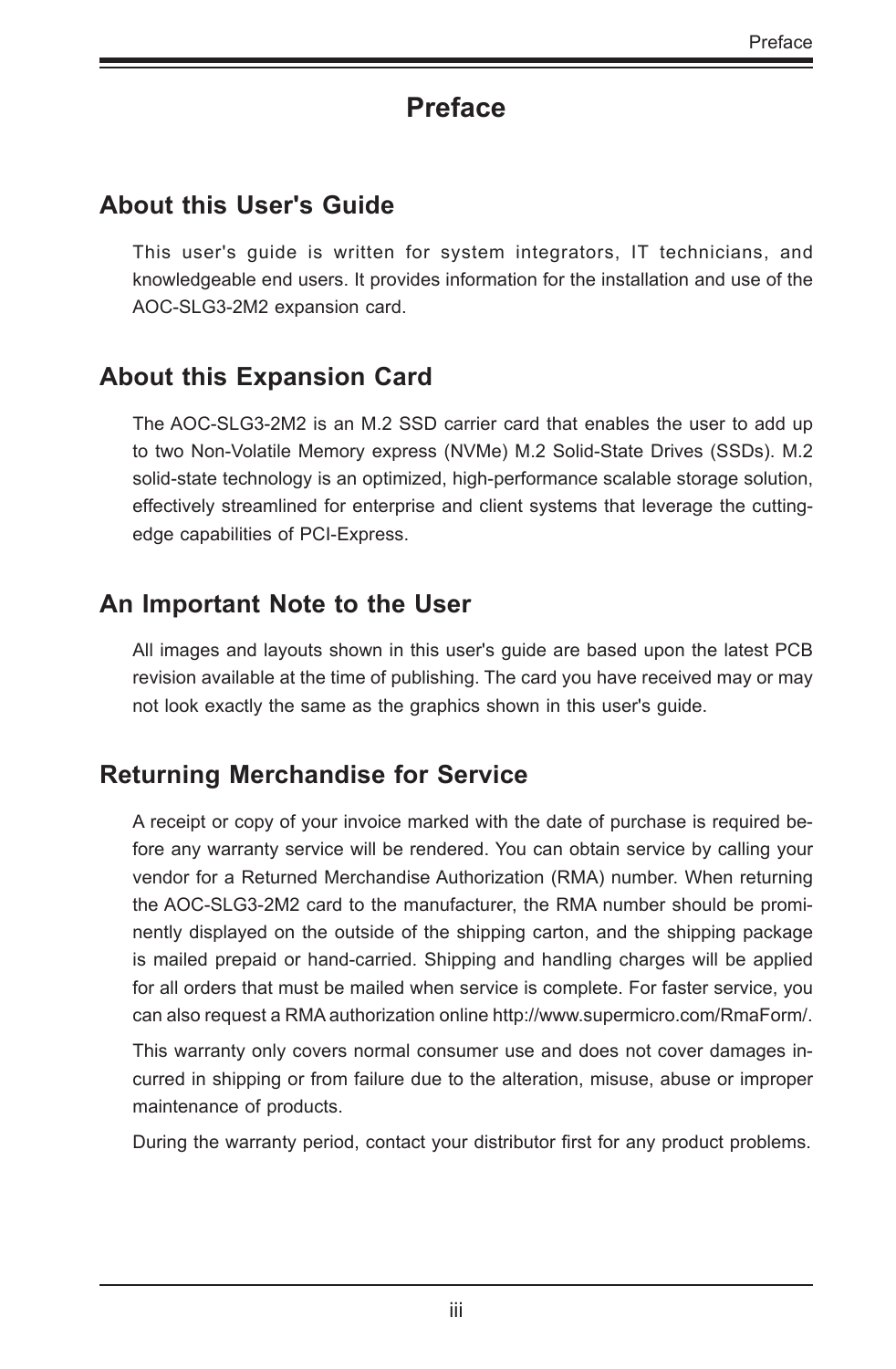## **Preface**

#### <span id="page-2-0"></span>**About this User's Guide**

This user's guide is written for system integrators, IT technicians, and knowledgeable end users. It provides information for the installation and use of the AOC-SLG3-2M2 expansion card.

#### **About this Expansion Card**

The AOC-SLG3-2M2 is an M.2 SSD carrier card that enables the user to add up to two Non-Volatile Memory express (NVMe) M.2 Solid-State Drives (SSDs). M.2 solid-state technology is an optimized, high-performance scalable storage solution, effectively streamlined for enterprise and client systems that leverage the cuttingedge capabilities of PCI-Express.

#### **An Important Note to the User**

All images and layouts shown in this user's guide are based upon the latest PCB revision available at the time of publishing. The card you have received may or may not look exactly the same as the graphics shown in this user's guide.

#### **Returning Merchandise for Service**

A receipt or copy of your invoice marked with the date of purchase is required before any warranty service will be rendered. You can obtain service by calling your vendor for a Returned Merchandise Authorization (RMA) number. When returning the AOC-SLG3-2M2 card to the manufacturer, the RMA number should be prominently displayed on the outside of the shipping carton, and the shipping package is mailed prepaid or hand-carried. Shipping and handling charges will be applied for all orders that must be mailed when service is complete. For faster service, you can also request a RMA authorization online http://www.supermicro.com/RmaForm/.

This warranty only covers normal consumer use and does not cover damages incurred in shipping or from failure due to the alteration, misuse, abuse or improper maintenance of products.

During the warranty period, contact your distributor first for any product problems.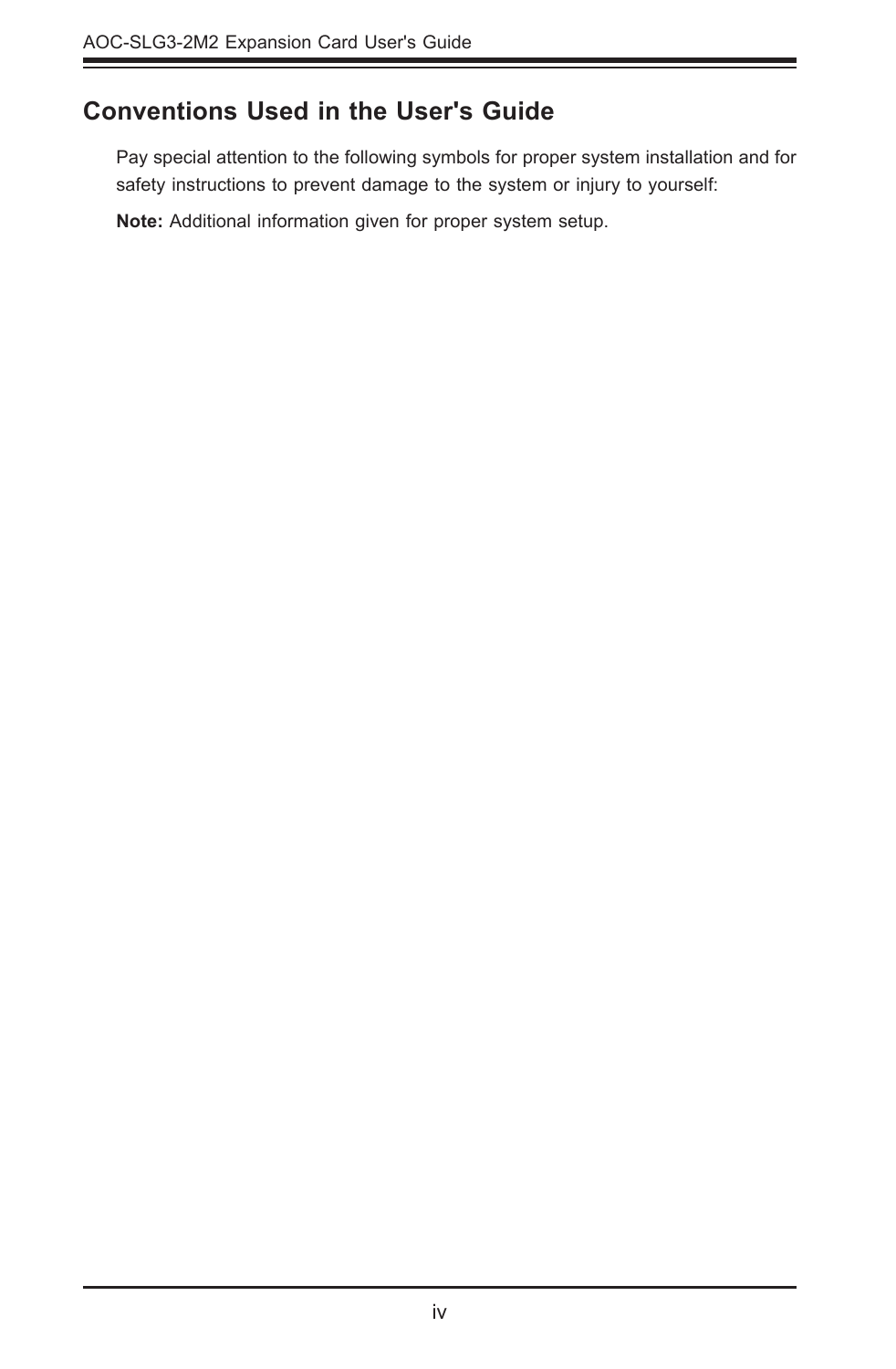#### <span id="page-3-0"></span>**Conventions Used in the User's Guide**

Pay special attention to the following symbols for proper system installation and for safety instructions to prevent damage to the system or injury to yourself:

**Note:** Additional information given for proper system setup.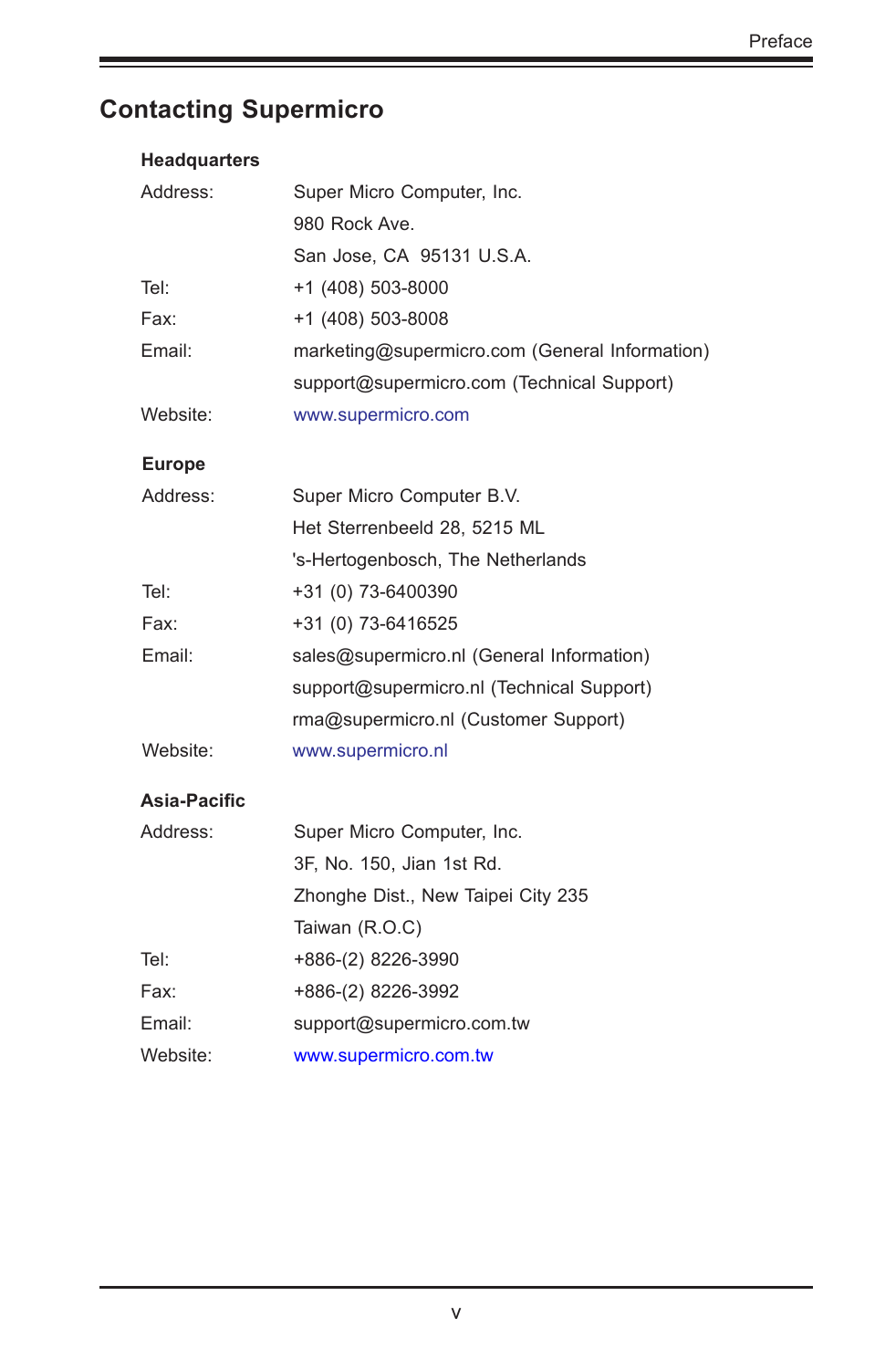## <span id="page-4-0"></span>**Contacting Supermicro**

| <b>Headquarters</b> |                                                |  |  |
|---------------------|------------------------------------------------|--|--|
| Address:            | Super Micro Computer, Inc.                     |  |  |
|                     | 980 Rock Ave.                                  |  |  |
|                     | San Jose, CA 95131 U.S.A.                      |  |  |
| Tel:                | +1 (408) 503-8000                              |  |  |
| Fax:                | +1 (408) 503-8008                              |  |  |
| Email:              | marketing@supermicro.com (General Information) |  |  |
|                     | support@supermicro.com (Technical Support)     |  |  |
| Website:            | www.supermicro.com                             |  |  |
| <b>Europe</b>       |                                                |  |  |
| Address:            | Super Micro Computer B.V.                      |  |  |
|                     | Het Sterrenbeeld 28, 5215 ML                   |  |  |
|                     | 's-Hertogenbosch, The Netherlands              |  |  |
| Tel:                | +31 (0) 73-6400390                             |  |  |
| Fax:                | +31 (0) 73-6416525                             |  |  |
| Email:              | sales@supermicro.nl (General Information)      |  |  |
|                     | support@supermicro.nl (Technical Support)      |  |  |
|                     | rma@supermicro.nl (Customer Support)           |  |  |
| Website:            | www.supermicro.nl                              |  |  |
| Asia-Pacific        |                                                |  |  |
| Address:            | Super Micro Computer, Inc.                     |  |  |
|                     | 3F, No. 150, Jian 1st Rd.                      |  |  |
|                     | Zhonghe Dist., New Taipei City 235             |  |  |
|                     | Taiwan (R.O.C)                                 |  |  |
| Tel:                | +886-(2) 8226-3990                             |  |  |
| Fax:                | +886-(2) 8226-3992                             |  |  |
| Email:              | support@supermicro.com.tw                      |  |  |
| Website:            | www.supermicro.com.tw                          |  |  |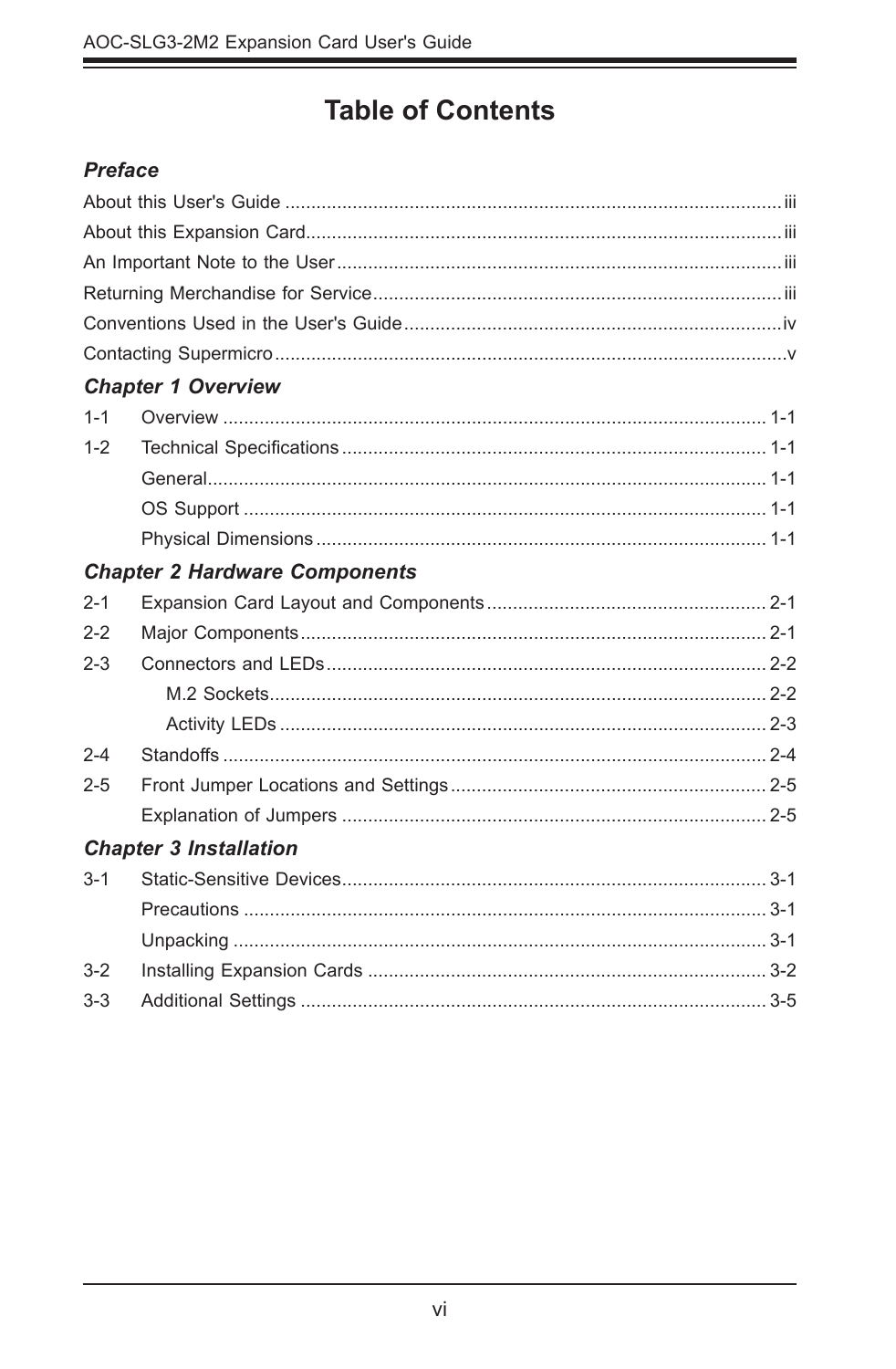## **Table of Contents**

٠

#### **Preface**

|         | <b>Chapter 1 Overview</b>            |
|---------|--------------------------------------|
| $1 - 1$ |                                      |
| $1 - 2$ |                                      |
|         |                                      |
|         |                                      |
|         |                                      |
|         | <b>Chapter 2 Hardware Components</b> |
| $2 - 1$ |                                      |
| $2 - 2$ |                                      |
| $2 - 3$ |                                      |
|         |                                      |
|         |                                      |
| $2 - 4$ |                                      |
| $2 - 5$ |                                      |
|         |                                      |
|         | <b>Chapter 3 Installation</b>        |
| $3 - 1$ |                                      |
|         |                                      |
|         |                                      |
| $3-2$   |                                      |
| $3 - 3$ |                                      |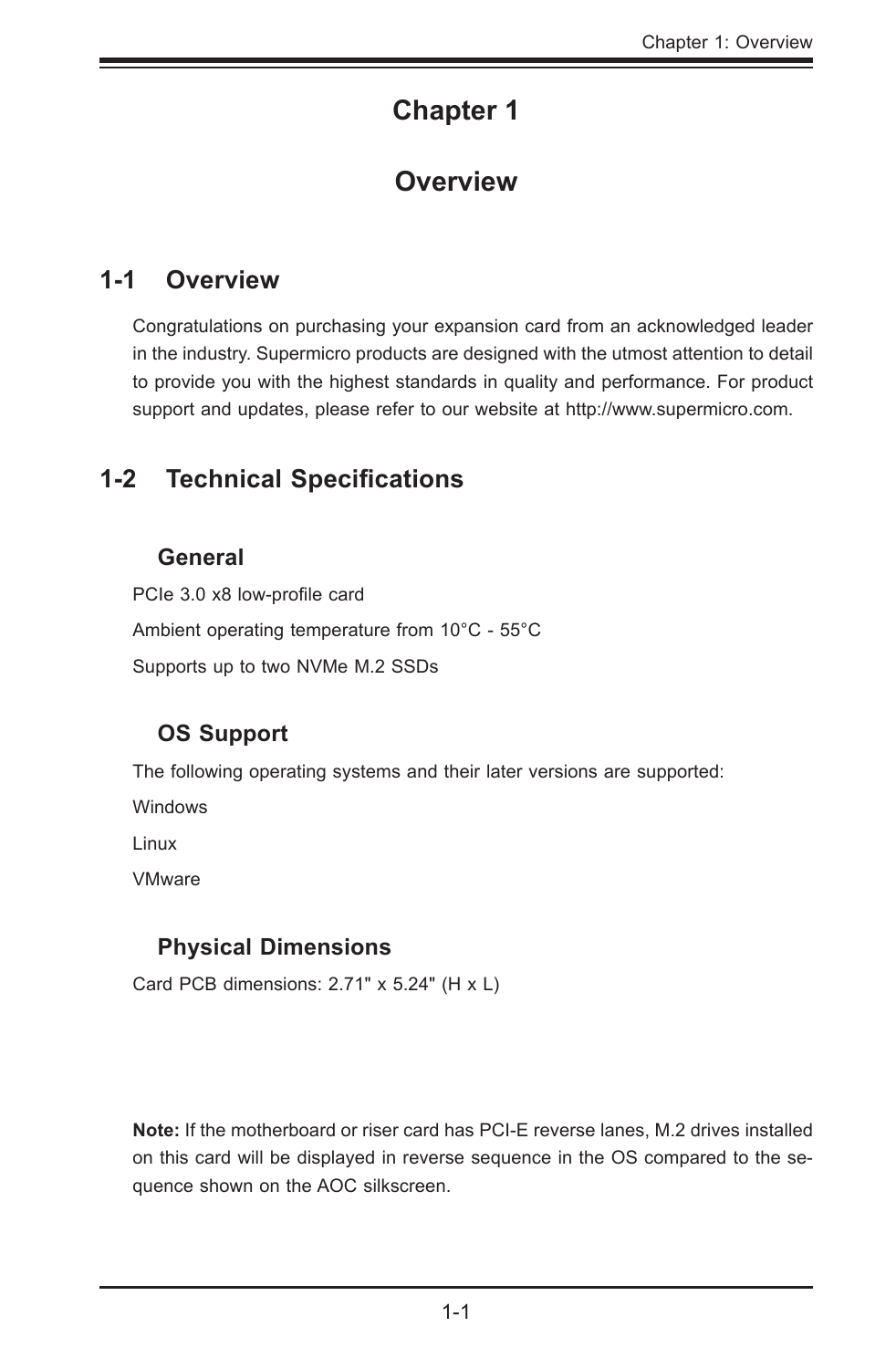## **Chapter 1**

#### **Overview**

#### <span id="page-6-0"></span>**1-1 Overview**

Congratulations on purchasing your expansion card from an acknowledged leader in the industry. Supermicro products are designed with the utmost attention to detail to provide you with the highest standards in quality and performance. For product support and updates, please refer to our website at [http://www.supermicro.com](http://www.supermicro.com/products/accessories/index.cfm?Type=20)[.](http://www.supermicro.com/products/accessories/index.cfm
)

#### **1-2 Technical Specifications**

#### **General**

PCIe 3.0 x8 low-profile card Ambient operating temperature from 10°C - 55°C Supports up to two NVMe M.2 SSDs

#### **OS Support**

The following operating systems and their later versions are supported:

Windows

Linux

VMware

#### **Physical Dimensions**

Card PCB dimensions: 2.71" x 5.24" (H x L)

**Note:** If the motherboard or riser card has PCI-E reverse lanes, M.2 drives installed on this card will be displayed in reverse sequence in the OS compared to the sequence shown on the AOC silkscreen.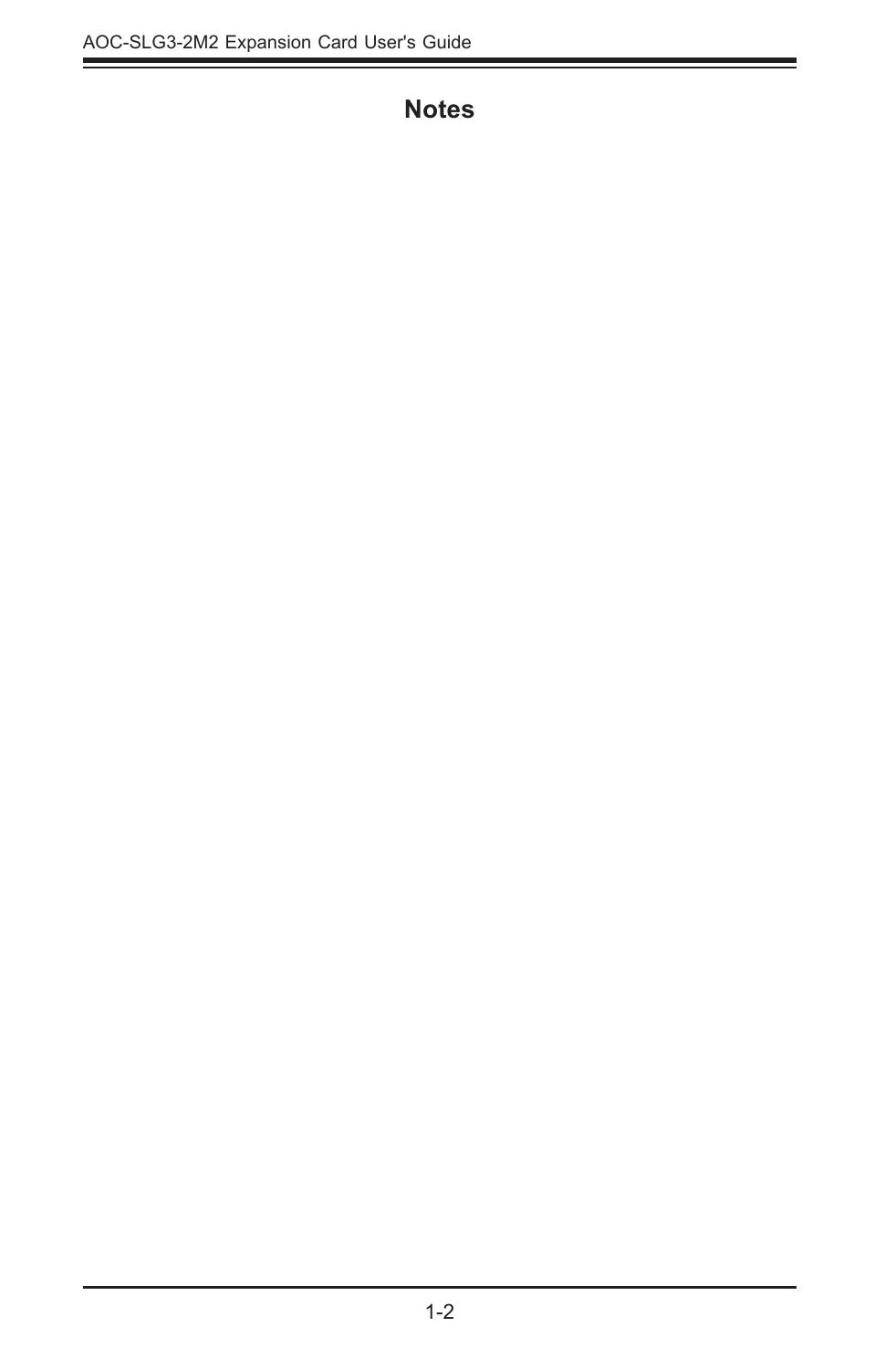#### **Notes**

ī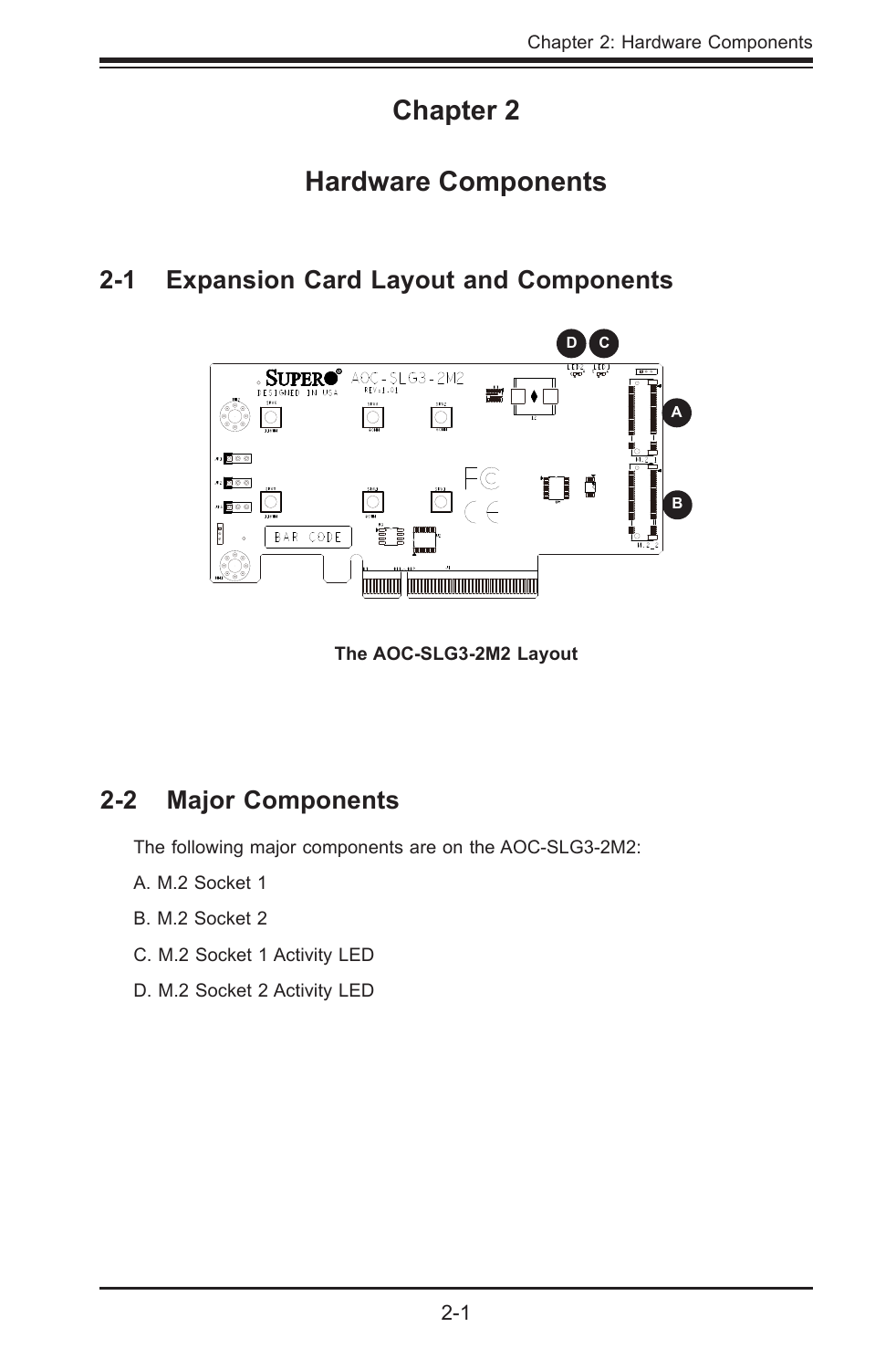## **Chapter 2**

## **Hardware Components**

#### <span id="page-8-0"></span>**2-1 Expansion Card Layout and Components**



**The AOC-SLG3-2M2 Layout**

#### **2-2 Major Components**

The following major components are on the AOC-SLG3-2M2:

- A. M.2 Socket 1
- B. M.2 Socket 2
- C. M.2 Socket 1 Activity LED
- D. M.2 Socket 2 Activity LED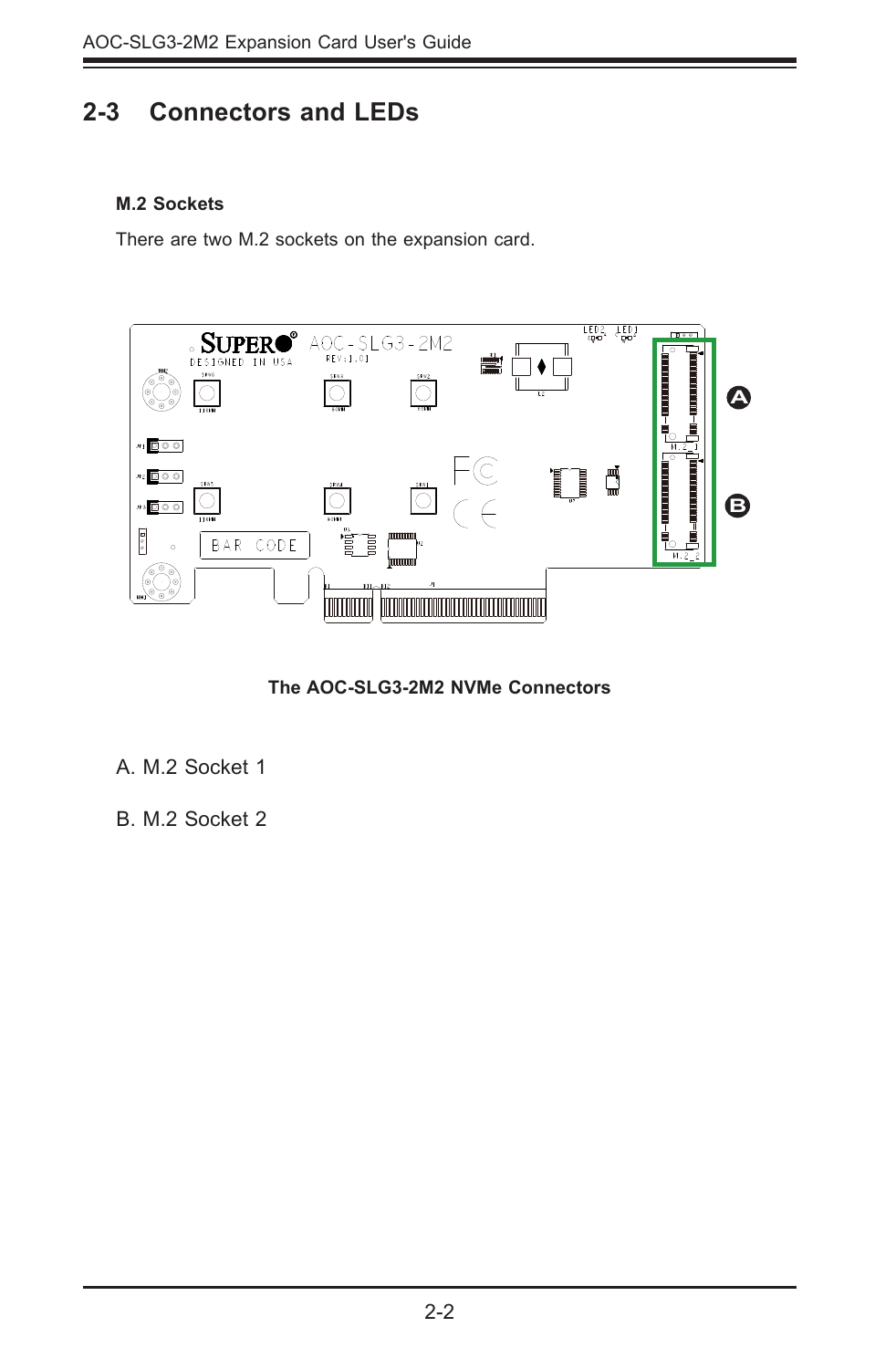#### <span id="page-9-0"></span>**2-3 Connectors and LEDs**

#### **M.2 Sockets**

There are two M.2 sockets on the expansion card.



**The AOC-SLG3-2M2 NVMe Connectors**

#### A. M.2 Socket 1

B. M.2 Socket 2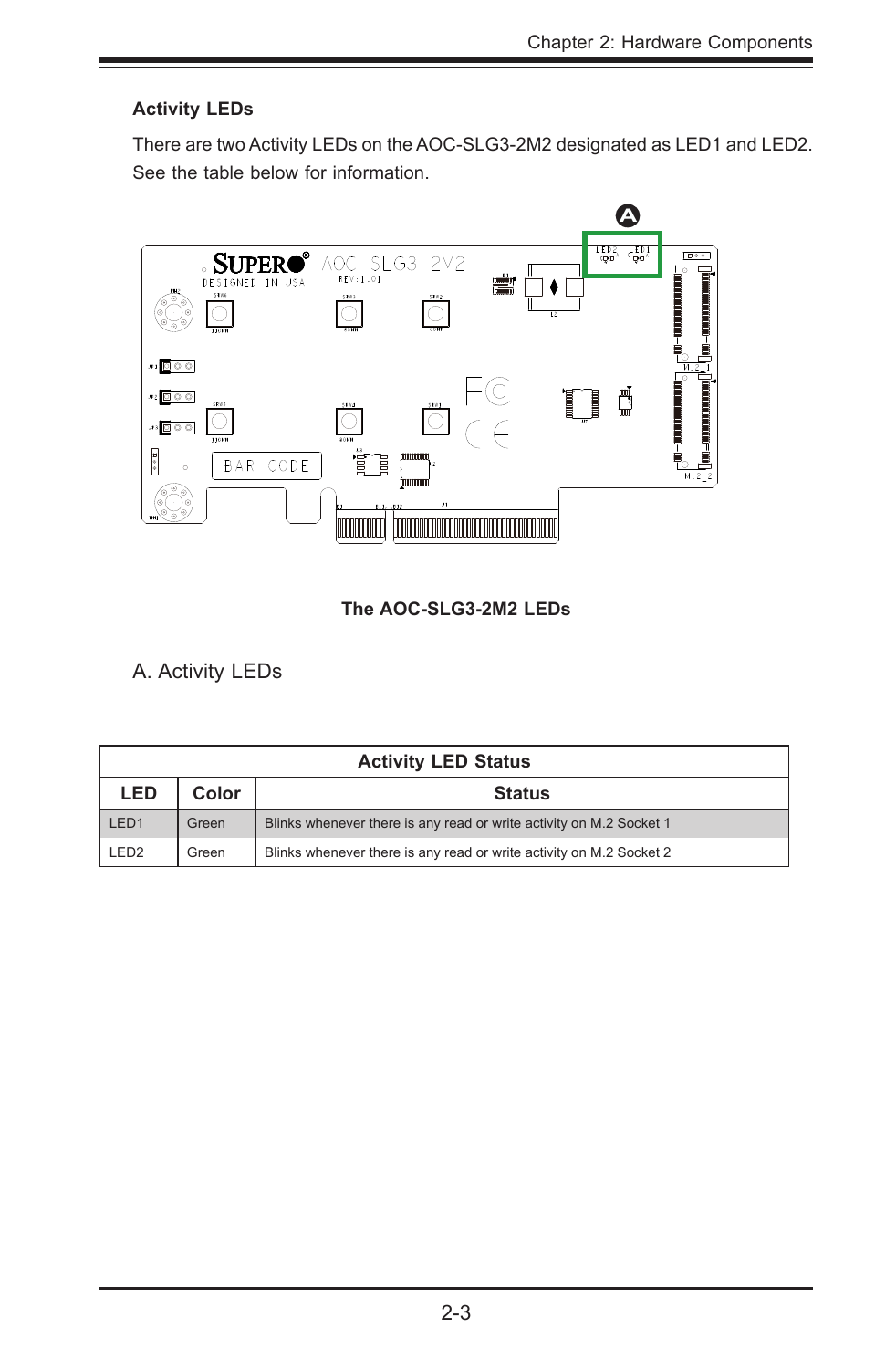#### <span id="page-10-0"></span>**Activity LEDs**

There are two Activity LEDs on the AOC-SLG3-2M2 designated as LED1 and LED2. See the table below for information.



#### **The AOC-SLG3-2M2 LEDs**

A. Activity LEDs

| <b>Activity LED Status</b> |                        |                                                                     |  |  |  |
|----------------------------|------------------------|---------------------------------------------------------------------|--|--|--|
| LED                        | Color<br><b>Status</b> |                                                                     |  |  |  |
| LED <sub>1</sub>           | Green                  | Blinks whenever there is any read or write activity on M.2 Socket 1 |  |  |  |
| LED <sub>2</sub>           | Green                  | Blinks whenever there is any read or write activity on M.2 Socket 2 |  |  |  |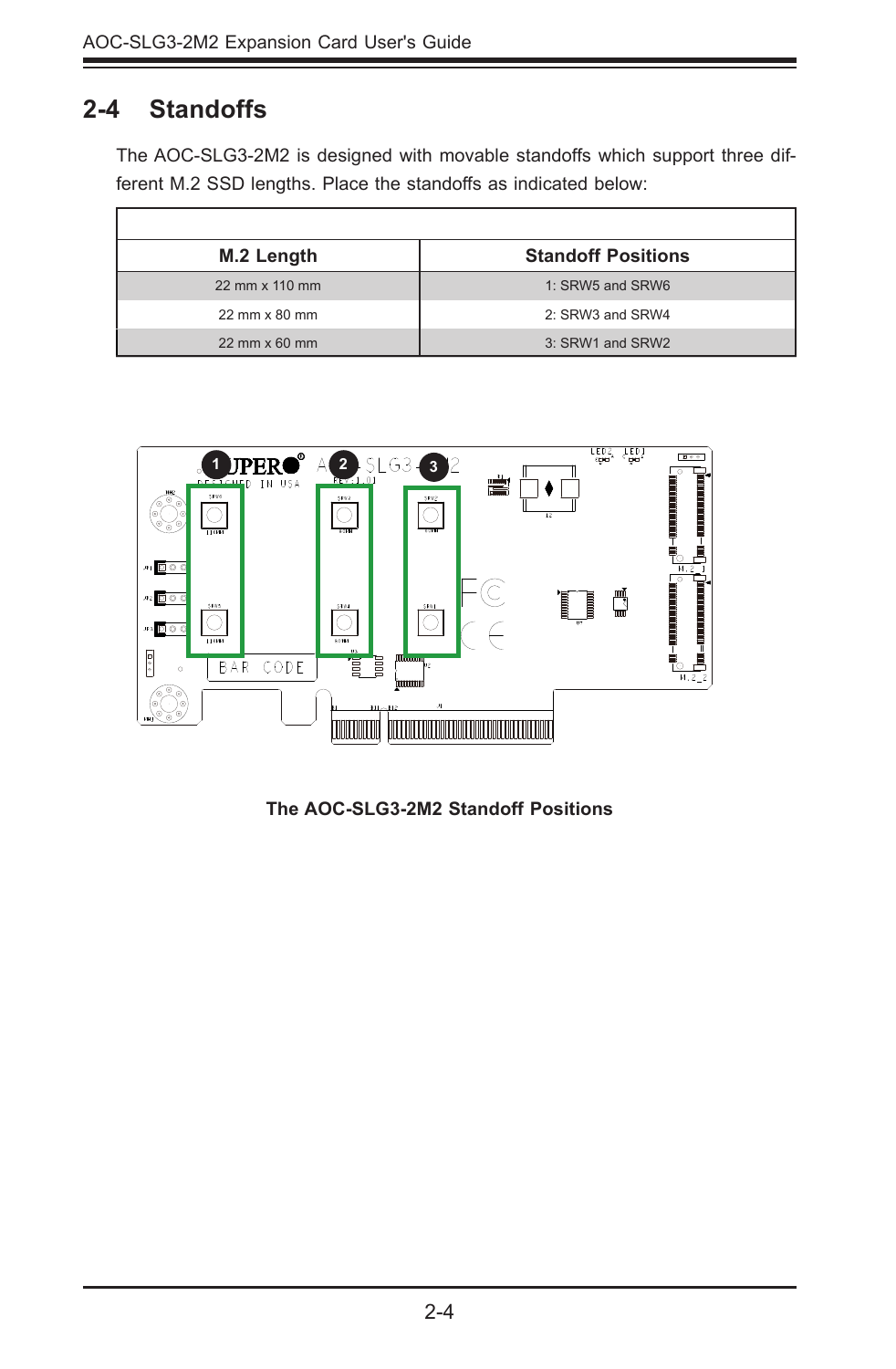### <span id="page-11-0"></span>**2-4 Standoffs**

 $\Gamma$ 

The AOC-SLG3-2M2 is designed with movable standoffs which support three different M.2 SSD lengths. Place the standoffs as indicated below:

| M.2 Length             | <b>Standoff Positions</b> |  |
|------------------------|---------------------------|--|
| 22 mm x 110 mm         | 1: SRW5 and SRW6          |  |
| 22 mm x 80 mm          | 2: SRW3 and SRW4          |  |
| $22$ mm $\times$ 60 mm | 3: SRW1 and SRW2          |  |



**The AOC-SLG3-2M2 Standoff Positions**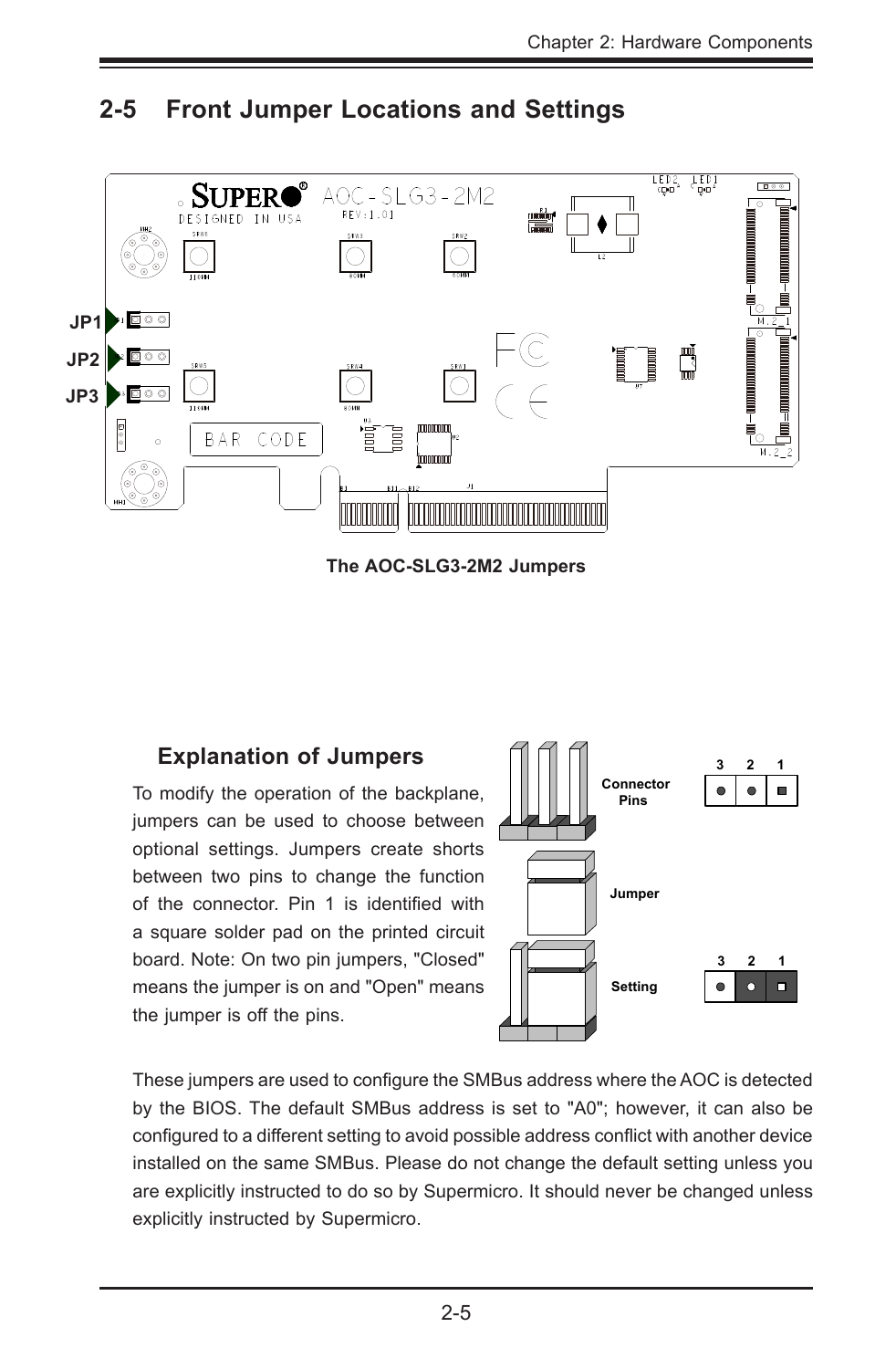

#### <span id="page-12-0"></span>**2-5 Front Jumper Locations and Settings**

**The AOC-SLG3-2M2 Jumpers**

#### **Explanation of Jumpers**

To modify the operation of the backplane, jumpers can be used to choose between optional settings. Jumpers create shorts between two pins to change the function of the connector. Pin 1 is identified with a square solder pad on the printed circuit board. Note: On two pin jumpers, "Closed" means the jumper is on and "Open" means the jumper is off the pins.



These jumpers are used to configure the SMBus address where the AOC is detected by the BIOS. The default SMBus address is set to "A0"; however, it can also be configured to a different setting to avoid possible address conflict with another device installed on the same SMBus. Please do not change the default setting unless you are explicitly instructed to do so by Supermicro. It should never be changed unless explicitly instructed by Supermicro.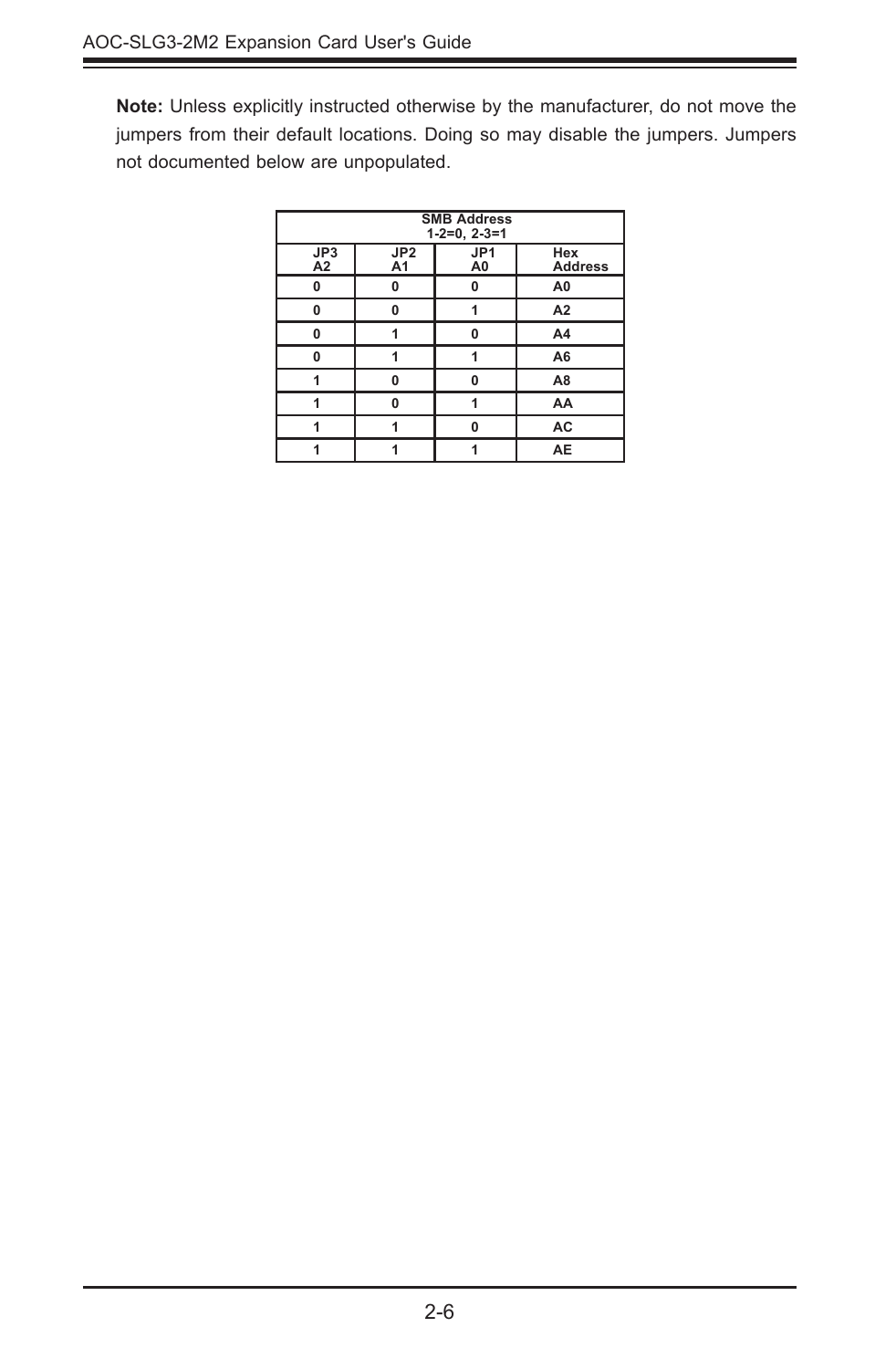**Note:** Unless explicitly instructed otherwise by the manufacturer, do not move the jumpers from their default locations. Doing so may disable the jumpers. Jumpers not documented below are unpopulated.

| <b>SMB Address</b><br>$1-2=0, 2-3=1$ |                       |                       |                       |  |  |  |
|--------------------------------------|-----------------------|-----------------------|-----------------------|--|--|--|
| JP3<br>A2                            | JP2<br>A <sub>1</sub> | JP1<br>A <sub>0</sub> | Hex<br><b>Address</b> |  |  |  |
| 0                                    | 0                     | 0                     | A <sub>0</sub>        |  |  |  |
| 0                                    | $\Omega$              |                       | A2                    |  |  |  |
| 0                                    |                       | O                     | A <sub>4</sub>        |  |  |  |
| O                                    |                       |                       | A <sub>6</sub>        |  |  |  |
|                                      | $\Omega$              | n                     | A <sub>8</sub>        |  |  |  |
|                                      | $\bf{0}$              |                       | AA                    |  |  |  |
|                                      |                       | n                     | AC                    |  |  |  |
|                                      |                       |                       | AE                    |  |  |  |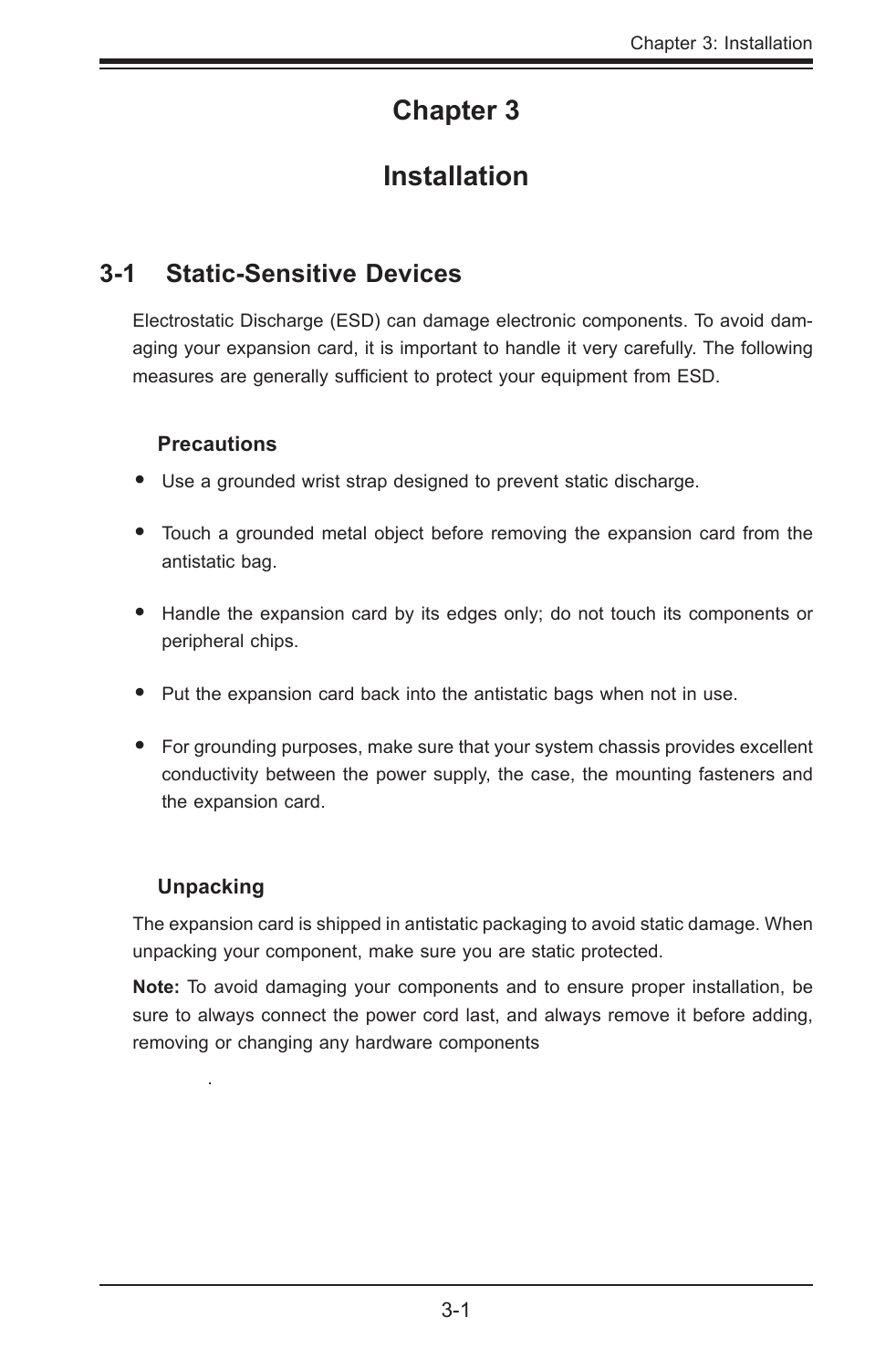## **Chapter 3**

## **Installation**

#### <span id="page-14-0"></span>**3-1 Static-Sensitive Devices**

Electrostatic Discharge (ESD) can damage electronic components. To avoid damaging your expansion card, it is important to handle it very carefully. The following measures are generally sufficient to protect your equipment from ESD.

#### **Precautions**

- Use a grounded wrist strap designed to prevent static discharge.
- Touch a grounded metal object before removing the expansion card from the antistatic bag.
- Handle the expansion card by its edges only; do not touch its components or peripheral chips.
- Put the expansion card back into the antistatic bags when not in use.
- For grounding purposes, make sure that your system chassis provides excellent conductivity between the power supply, the case, the mounting fasteners and the expansion card.

#### **Unpacking**

.

The expansion card is shipped in antistatic packaging to avoid static damage. When unpacking your component, make sure you are static protected.

**Note:** To avoid damaging your components and to ensure proper installation, be sure to always connect the power cord last, and always remove it before adding, removing or changing any hardware components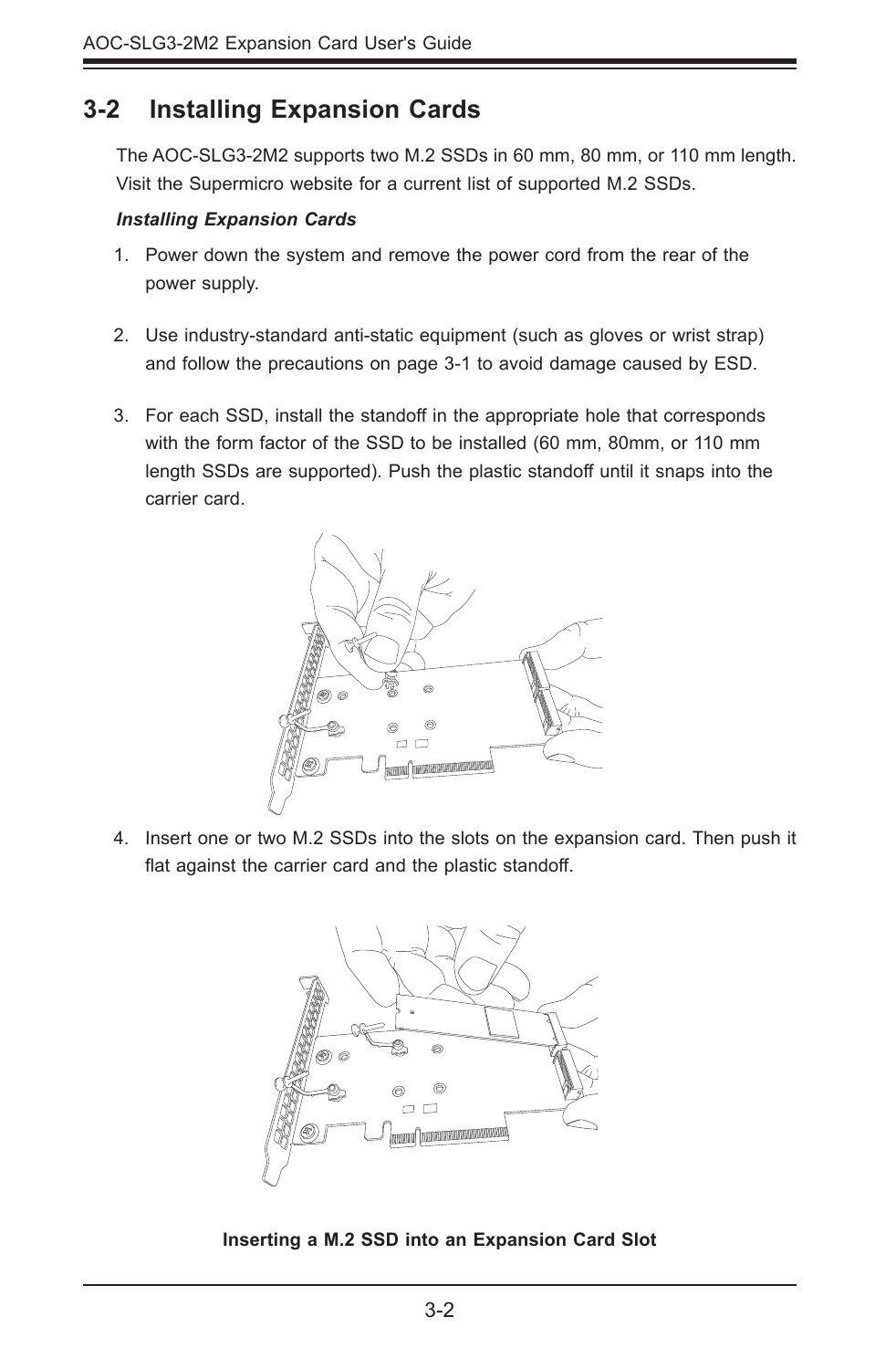#### <span id="page-15-0"></span>**3-2 Installing Expansion Cards**

The AOC-SLG3-2M2 supports two M.2 SSDs in 60 mm, 80 mm, or 110 mm length. Visit the Supermicro website for a current list of supported M.2 SSDs.

#### *Installing Expansion Cards*

- 1. Power down the system and remove the power cord from the rear of the power supply.
- 2. Use industry-standard anti-static equipment (such as gloves or wrist strap) and follow the precautions on page 3-1 to avoid damage caused by ESD.
- 3. For each SSD, install the standoff in the appropriate hole that corresponds with the form factor of the SSD to be installed (60 mm, 80mm, or 110 mm length SSDs are supported). Push the plastic standoff until it snaps into the carrier card.



4. Insert one or two M.2 SSDs into the slots on the expansion card. Then push it flat against the carrier card and the plastic standoff.



**Inserting a M.2 SSD into an Expansion Card Slot**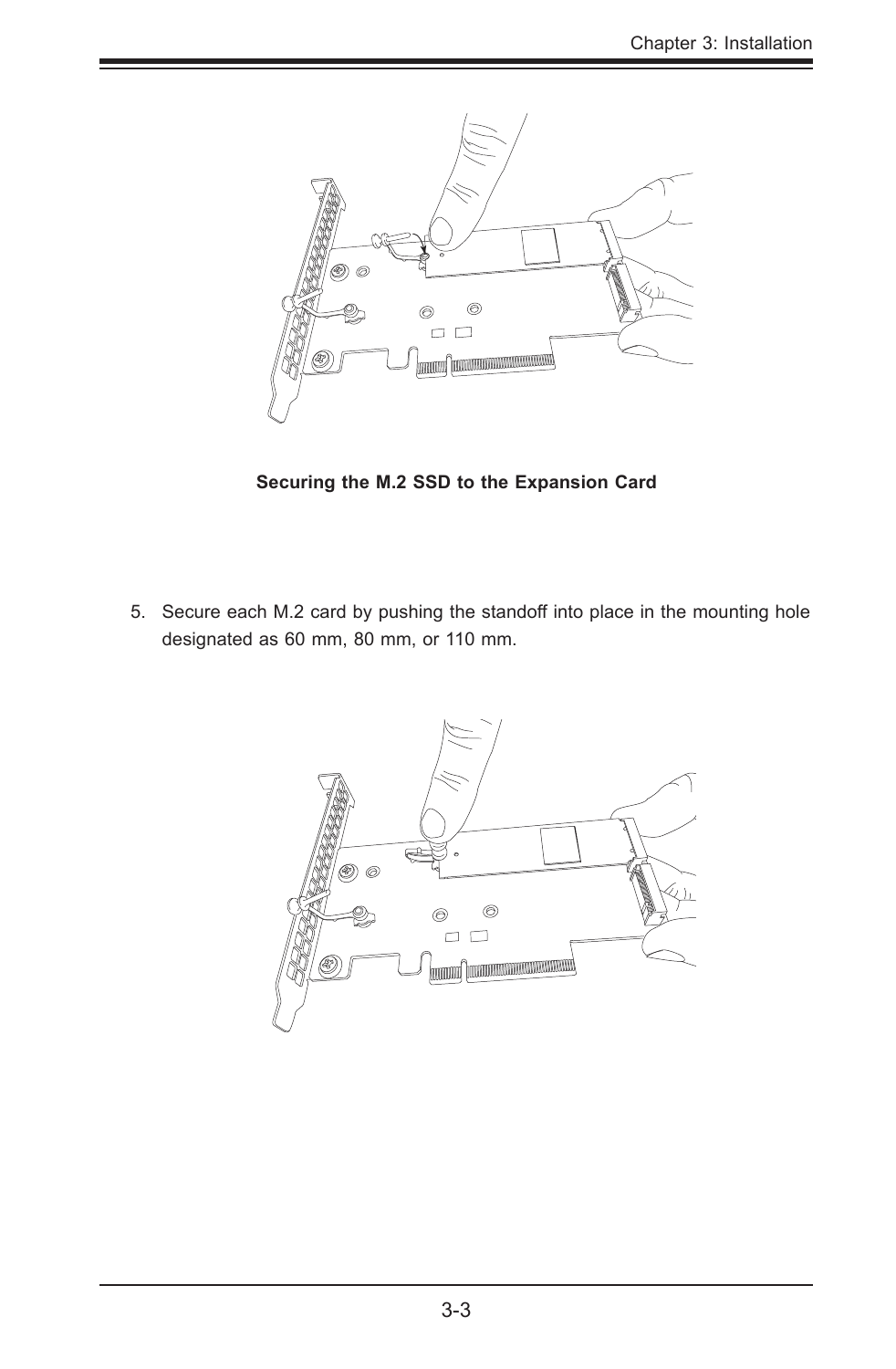

**Securing the M.2 SSD to the Expansion Card**

5. Secure each M.2 card by pushing the standoff into place in the mounting hole designated as 60 mm, 80 mm, or 110 mm.

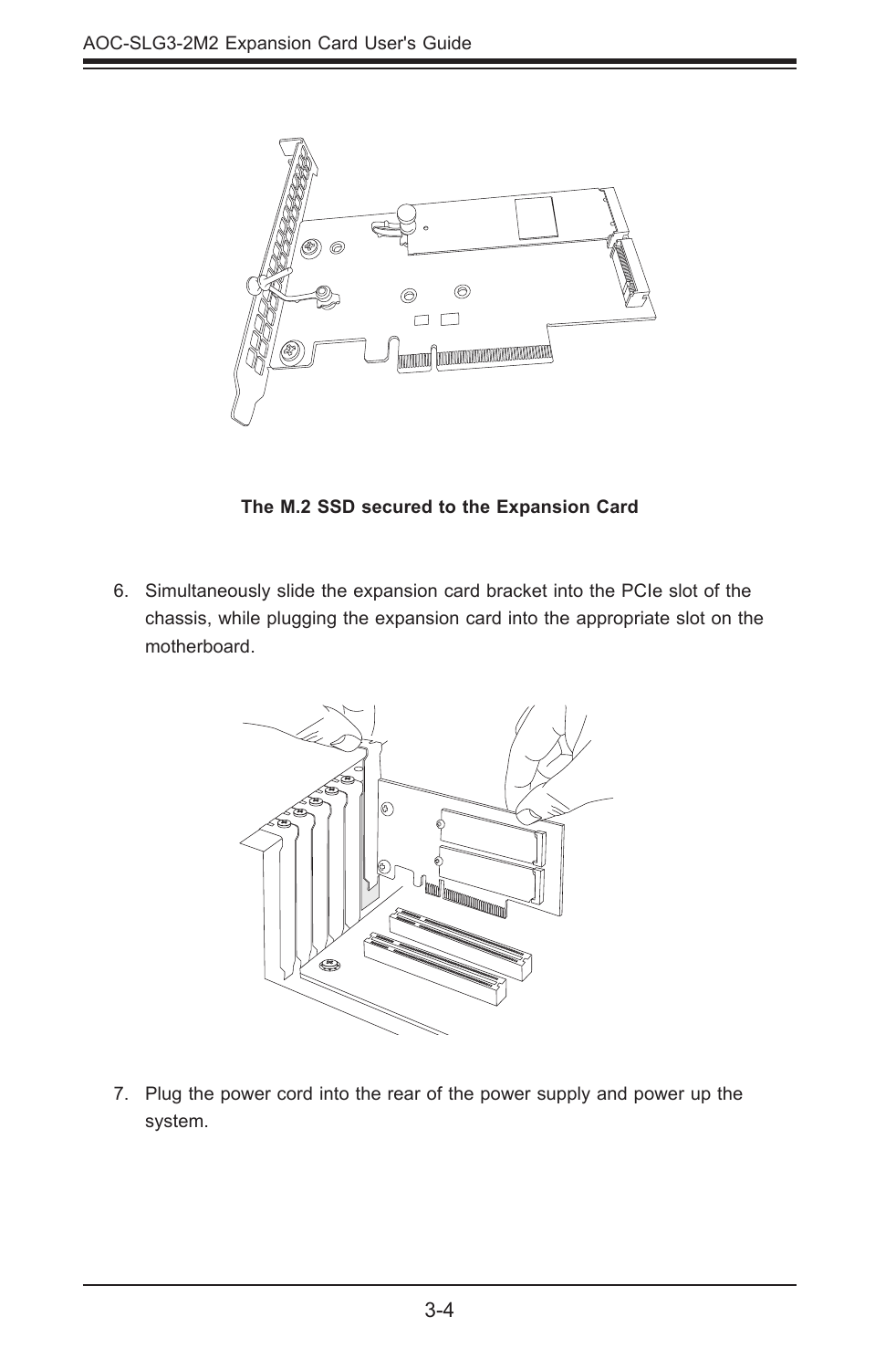

**The M.2 SSD secured to the Expansion Card**

6. Simultaneously slide the expansion card bracket into the PCIe slot of the chassis, while plugging the expansion card into the appropriate slot on the motherboard.



7. Plug the power cord into the rear of the power supply and power up the system.